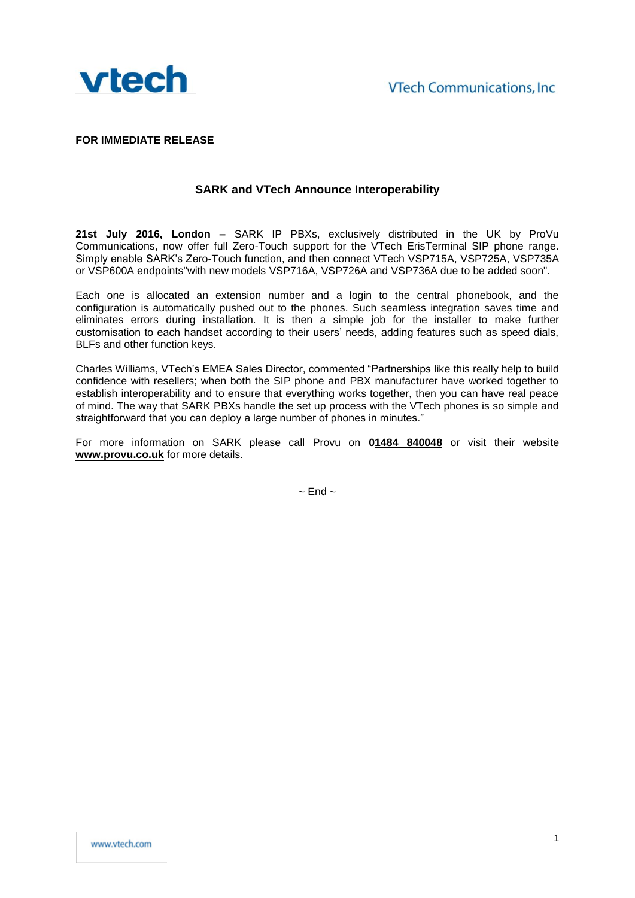

**FOR IMMEDIATE RELEASE**

## **SARK and VTech Announce Interoperability**

**21st July 2016, London –** SARK IP PBXs, exclusively distributed in the UK by ProVu Communications, now offer full Zero-Touch support for the VTech ErisTerminal SIP phone range. Simply enable SARK's Zero-Touch function, and then connect VTech VSP715A, VSP725A, VSP735A or VSP600A endpoints"with new models VSP716A, VSP726A and VSP736A due to be added soon".

Each one is allocated an extension number and a login to the central phonebook, and the configuration is automatically pushed out to the phones. Such seamless integration saves time and eliminates errors during installation. It is then a simple job for the installer to make further customisation to each handset according to their users' needs, adding features such as speed dials, BLFs and other function keys.

Charles Williams, VTech's EMEA Sales Director, commented "Partnerships like this really help to build confidence with resellers; when both the SIP phone and PBX manufacturer have worked together to establish interoperability and to ensure that everything works together, then you can have real peace of mind. The way that SARK PBXs handle the set up process with the VTech phones is so simple and straightforward that you can deploy a large number of phones in minutes."

For more information on SARK please call Provu on **01484 840048** or visit their website **www.provu.co.uk** for more details.

 $\sim$  End  $\sim$